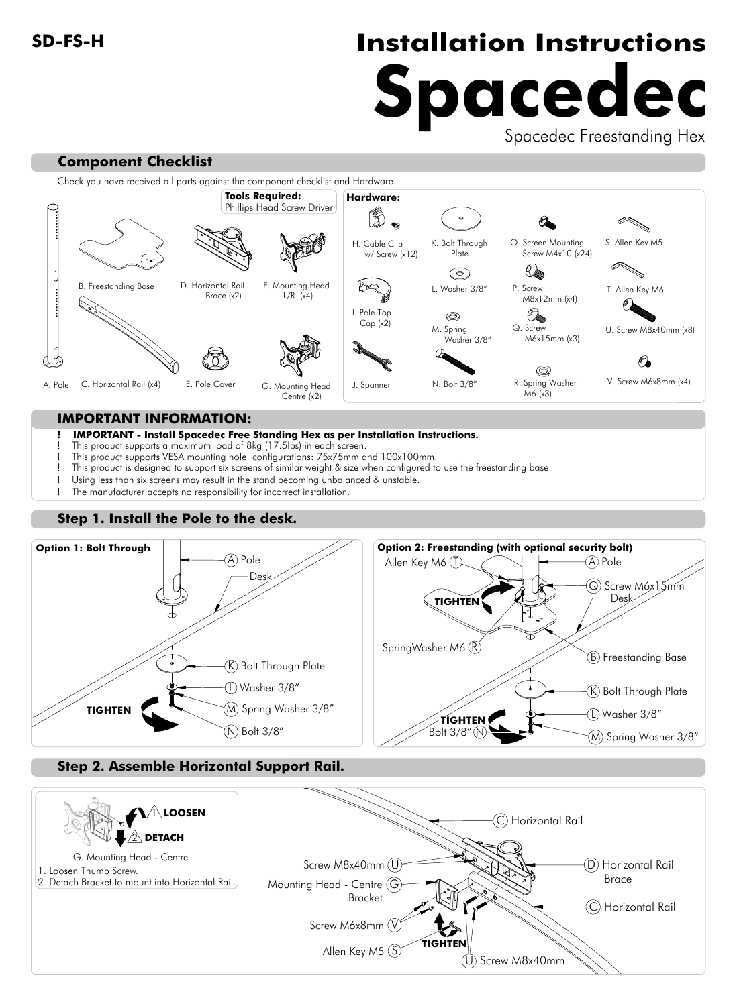# **SD-FS-H Installation Instructions Spacedec**

Spacedec Freestanding Hex

# Check you have received all parts against the component checklist and Hardware. **Tools Required: Hardware:** Phillips Head Screw Driver



### **IMPORTANT INFORMATION:**

**Component Checklist**

#### **! IMPORTANT - Install Spacedec Free Standing Hex as per Installation Instructions.**

- This product supports a maximum load of 8kg (17.5lbs) in each screen.
- ! This product supports VESA mounting hole configurations: 75x75mm and 100x100mm.
	- ! This product is designed to support six screens of similar weight & size when configured to use the freestanding base.
- Using less than six screens may result in the stand becoming unbalanced & unstable.
- The manufacturer accepts no responsibility for incorrect installation.

# **Step 1. Install the Pole to the desk.**



## **Step 2. Assemble Horizontal Support Rail.**